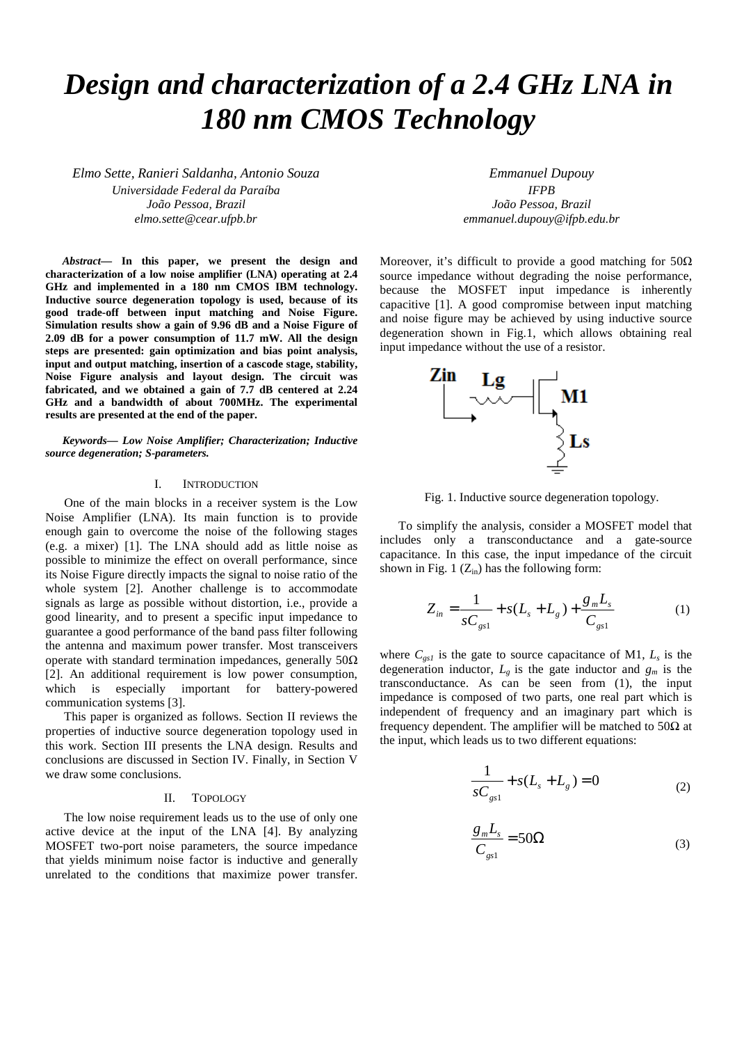# *Design and characterization of a 2.4 GHz LNA in 180 nm CMOS Technology*

*Elmo Sette, Ranieri Saldanha, Antonio Souza Universidade Federal da Paraíba João Pessoa, Brazil elmo.sette@cear.ufpb.br* 

*Abstract***— In this paper, we present the design and characterization of a low noise amplifier (LNA) operating at 2.4 GHz and implemented in a 180 nm CMOS IBM technology. Inductive source degeneration topology is used, because of its good trade-off between input matching and Noise Figure. Simulation results show a gain of 9.96 dB and a Noise Figure of 2.09 dB for a power consumption of 11.7 mW. All the design steps are presented: gain optimization and bias point analysis, input and output matching, insertion of a cascode stage, stability, Noise Figure analysis and layout design. The circuit was fabricated, and we obtained a gain of 7.7 dB centered at 2.24 GHz and a bandwidth of about 700MHz. The experimental results are presented at the end of the paper.** 

*Keywords— Low Noise Amplifier; Characterization; Inductive source degeneration; S-parameters.* 

## I. INTRODUCTION

 One of the main blocks in a receiver system is the Low Noise Amplifier (LNA). Its main function is to provide enough gain to overcome the noise of the following stages (e.g. a mixer) [1]. The LNA should add as little noise as possible to minimize the effect on overall performance, since its Noise Figure directly impacts the signal to noise ratio of the whole system [2]. Another challenge is to accommodate signals as large as possible without distortion, i.e., provide a good linearity, and to present a specific input impedance to guarantee a good performance of the band pass filter following the antenna and maximum power transfer. Most transceivers operate with standard termination impedances, generally  $50\Omega$ [2]. An additional requirement is low power consumption, which is especially important for battery-powered communication systems [3].

 This paper is organized as follows. Section II reviews the properties of inductive source degeneration topology used in this work. Section III presents the LNA design. Results and conclusions are discussed in Section IV. Finally, in Section V we draw some conclusions.

## II. TOPOLOGY

 The low noise requirement leads us to the use of only one active device at the input of the LNA [4]. By analyzing MOSFET two-port noise parameters, the source impedance that yields minimum noise factor is inductive and generally unrelated to the conditions that maximize power transfer.

*Emmanuel Dupouy IFPB João Pessoa, Brazil emmanuel.dupouy@ifpb.edu.br* 

Moreover, it's difficult to provide a good matching for  $50\Omega$ source impedance without degrading the noise performance, because the MOSFET input impedance is inherently capacitive [1]. A good compromise between input matching and noise figure may be achieved by using inductive source degeneration shown in Fig.1, which allows obtaining real input impedance without the use of a resistor.



Fig. 1. Inductive source degeneration topology.

 To simplify the analysis, consider a MOSFET model that includes only a transconductance and a gate-source capacitance. In this case, the input impedance of the circuit shown in Fig. 1  $(Z_{in})$  has the following form:

$$
Z_{in} = \frac{1}{sC_{gs1}} + s(L_s + L_g) + \frac{g_m L_s}{C_{gs1}}
$$
 (1)

where  $C_{gs1}$  is the gate to source capacitance of M1,  $L_s$  is the degeneration inductor,  $L_g$  is the gate inductor and  $g_m$  is the transconductance. As can be seen from (1), the input impedance is composed of two parts, one real part which is independent of frequency and an imaginary part which is frequency dependent. The amplifier will be matched to  $50\Omega$  at the input, which leads us to two different equations:

$$
\frac{1}{sC_{gs1}} + s(L_s + L_g) = 0
$$
 (2)

$$
\frac{g_m L_s}{C_{gs1}} = 50\Omega\tag{3}
$$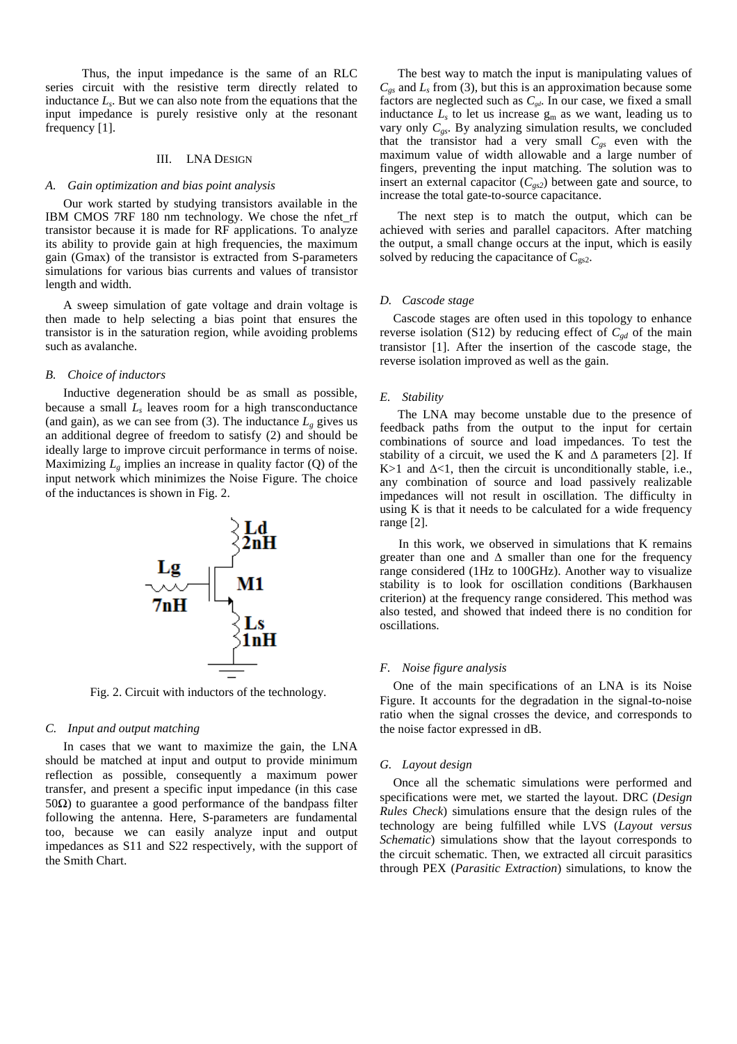Thus, the input impedance is the same of an RLC series circuit with the resistive term directly related to inductance *L<sup>s</sup>* . But we can also note from the equations that the input impedance is purely resistive only at the resonant frequency [1].

#### III. LNA DESIGN

#### *A. Gain optimization and bias point analysis*

Our work started by studying transistors available in the IBM CMOS 7RF 180 nm technology. We chose the nfet\_rf transistor because it is made for RF applications. To analyze its ability to provide gain at high frequencies, the maximum gain (Gmax) of the transistor is extracted from S-parameters simulations for various bias currents and values of transistor length and width.

A sweep simulation of gate voltage and drain voltage is then made to help selecting a bias point that ensures the transistor is in the saturation region, while avoiding problems such as avalanche.

#### *B. Choice of inductors*

Inductive degeneration should be as small as possible, because a small *L<sup>s</sup>* leaves room for a high transconductance (and gain), as we can see from (3). The inductance  $L_g$  gives us an additional degree of freedom to satisfy (2) and should be ideally large to improve circuit performance in terms of noise. Maximizing  $L_g$  implies an increase in quality factor  $(Q)$  of the input network which minimizes the Noise Figure. The choice of the inductances is shown in Fig. 2.



Fig. 2. Circuit with inductors of the technology.

#### *C. Input and output matching*

In cases that we want to maximize the gain, the LNA should be matched at input and output to provide minimum reflection as possible, consequently a maximum power transfer, and present a specific input impedance (in this case 50 $Ω$ ) to guarantee a good performance of the bandpass filter following the antenna. Here, S-parameters are fundamental too, because we can easily analyze input and output impedances as S11 and S22 respectively, with the support of the Smith Chart.

The best way to match the input is manipulating values of  $C_{gs}$  and  $L_s$  from (3), but this is an approximation because some factors are neglected such as  $C_{gd}$ . In our case, we fixed a small inductance  $L<sub>s</sub>$  to let us increase  $g<sub>m</sub>$  as we want, leading us to vary only  $C_{gs}$ . By analyzing simulation results, we concluded that the transistor had a very small  $C_{gs}$  even with the maximum value of width allowable and a large number of fingers, preventing the input matching. The solution was to insert an external capacitor  $(C_{gs2})$  between gate and source, to increase the total gate-to-source capacitance.

The next step is to match the output, which can be achieved with series and parallel capacitors. After matching the output, a small change occurs at the input, which is easily solved by reducing the capacitance of  $C_{gs2}$ .

#### *D. Cascode stage*

Cascode stages are often used in this topology to enhance reverse isolation (S12) by reducing effect of  $C_{\text{gd}}$  of the main transistor [1]. After the insertion of the cascode stage, the reverse isolation improved as well as the gain.

#### *E. Stability*

The LNA may become unstable due to the presence of feedback paths from the output to the input for certain combinations of source and load impedances. To test the stability of a circuit, we used the K and  $\Delta$  parameters [2]. If K > 1 and  $\Delta$ <1, then the circuit is unconditionally stable, i.e., any combination of source and load passively realizable impedances will not result in oscillation. The difficulty in using K is that it needs to be calculated for a wide frequency range [2].

 In this work, we observed in simulations that K remains greater than one and ∆ smaller than one for the frequency range considered (1Hz to 100GHz). Another way to visualize stability is to look for oscillation conditions (Barkhausen criterion) at the frequency range considered. This method was also tested, and showed that indeed there is no condition for oscillations.

#### *F. Noise figure analysis*

One of the main specifications of an LNA is its Noise Figure. It accounts for the degradation in the signal-to-noise ratio when the signal crosses the device, and corresponds to the noise factor expressed in dB.

#### *G. Layout design*

Once all the schematic simulations were performed and specifications were met, we started the layout. DRC (*Design Rules Check*) simulations ensure that the design rules of the technology are being fulfilled while LVS (*Layout versus Schematic*) simulations show that the layout corresponds to the circuit schematic. Then, we extracted all circuit parasitics through PEX (*Parasitic Extraction*) simulations, to know the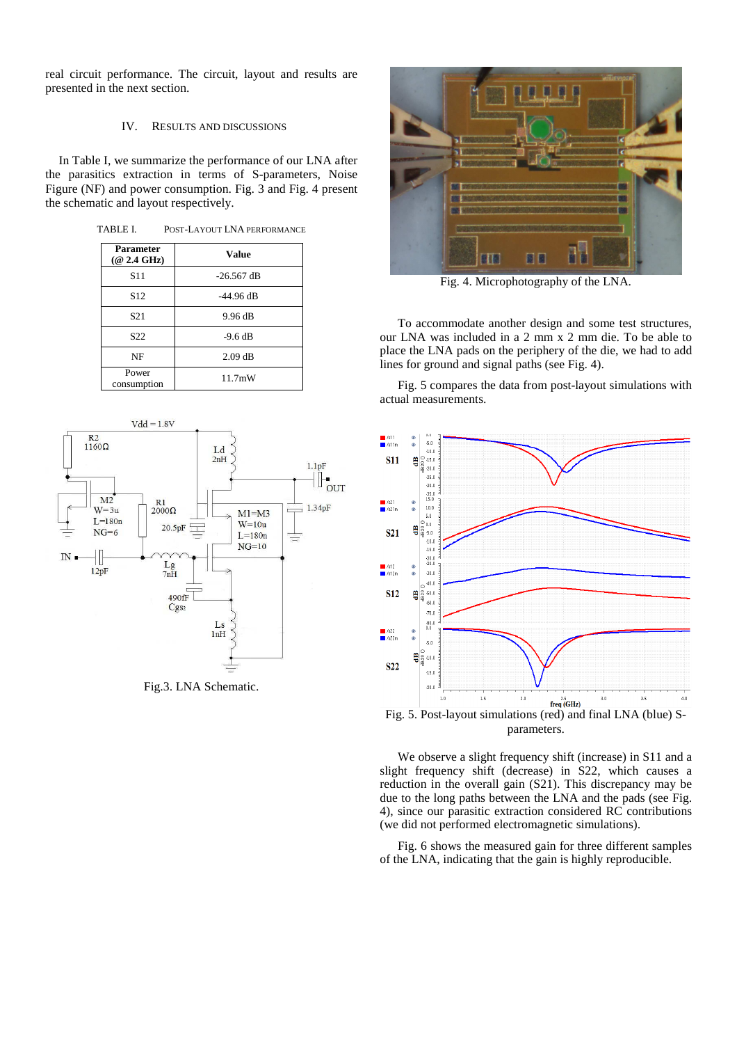real circuit performance. The circuit, layout and results are presented in the next section.

### IV. RESULTS AND DISCUSSIONS

In Table I, we summarize the performance of our LNA after the parasitics extraction in terms of S-parameters, Noise Figure (NF) and power consumption. Fig. 3 and Fig. 4 present the schematic and layout respectively.

TABLE I. POST-LAYOUT LNA PERFORMANCE

| Parameter<br>$(@ 2.4 \text{ GHz})$ | <b>Value</b> |  |  |  |
|------------------------------------|--------------|--|--|--|
| S <sub>11</sub>                    | $-26.567$ dB |  |  |  |
| S <sub>12</sub>                    | $-44.96$ dB  |  |  |  |
| S <sub>21</sub>                    | 9.96 dB      |  |  |  |
| S <sub>22</sub>                    | $-9.6$ dB    |  |  |  |
| NF                                 | $2.09$ dB    |  |  |  |
| Power<br>consumption               | 11.7mW       |  |  |  |



Fig.3. LNA Schematic.



Fig. 4. Microphotography of the LNA.

To accommodate another design and some test structures, our LNA was included in a 2 mm x 2 mm die. To be able to place the LNA pads on the periphery of the die, we had to add lines for ground and signal paths (see Fig. 4).

Fig. 5 compares the data from post-layout simulations with actual measurements.



We observe a slight frequency shift (increase) in S11 and a slight frequency shift (decrease) in S22, which causes a reduction in the overall gain (S21). This discrepancy may be due to the long paths between the LNA and the pads (see Fig. 4), since our parasitic extraction considered RC contributions (we did not performed electromagnetic simulations).

Fig. 6 shows the measured gain for three different samples of the LNA, indicating that the gain is highly reproducible.